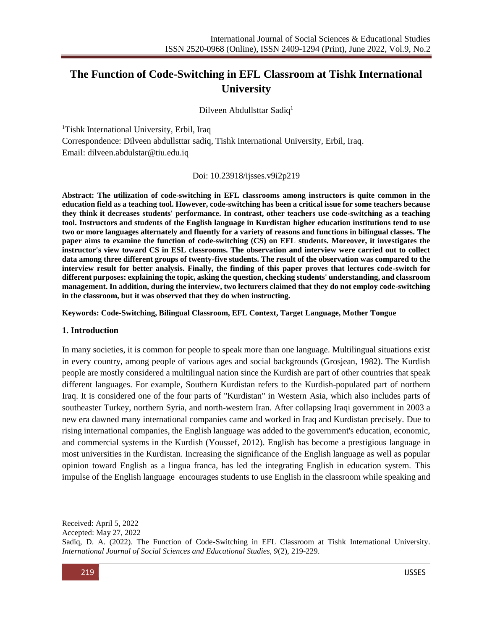# **The Function of Code-Switching in EFL Classroom at Tishk International University**

Dilveen Abdullsttar Sadiq<sup>1</sup>

<sup>1</sup>Tishk International University, Erbil, Iraq Correspondence: Dilveen abdullsttar sadiq, Tishk International University, Erbil, Iraq. Email: [dilveen.abdulstar@tiu.edu.iq](mailto:dilveen.abdulstar@tiu.edu.iq)

Doi: 10.23918/ijsses.v9i2p219

**Abstract: The utilization of code-switching in EFL classrooms among instructors is quite common in the education field as a teaching tool. However, code-switching has been a critical issue for some teachers because they think it decreases students' performance. In contrast, other teachers use code-switching as a teaching tool. Instructors and students of the English language in Kurdistan higher education institutions tend to use two or more languages alternately and fluently for a variety of reasons and functions in bilingual classes. The paper aims to examine the function of code-switching (CS) on EFL students. Moreover, it investigates the instructor's view toward CS in ESL classrooms. The observation and interview were carried out to collect data among three different groups of twenty-five students. The result of the observation was compared to the interview result for better analysis. Finally, the finding of this paper proves that lectures code-switch for different purposes: explaining the topic, asking the question, checking students' understanding, and classroom management. In addition, during the interview, two lecturers claimed that they do not employ code-switching in the classroom, but it was observed that they do when instructing.** 

**Keywords: Code-Switching, Bilingual Classroom, EFL Context, Target Language, Mother Tongue** 

## **1. Introduction**

In many societies, it is common for people to speak more than one language. Multilingual situations exist in every country, among people of various ages and social backgrounds (Grosjean, 1982). The Kurdish people are mostly considered a multilingual nation since the Kurdish are part of other countries that speak different languages. For example, Southern Kurdistan refers to the Kurdish-populated part of northern Iraq. It is considered one of the four parts of "Kurdistan" in Western Asia, which also includes parts of southeaster Turkey, northern Syria, and north-western Iran. After collapsing Iraqi government in 2003 a new era dawned many international companies came and worked in Iraq and Kurdistan precisely. Due to rising international companies, the English language was added to the government's education, economic, and commercial systems in the Kurdish (Youssef, 2012). English has become a prestigious language in most universities in the Kurdistan. Increasing the significance of the English language as well as popular opinion toward English as a lingua franca, has led the integrating English in education system. This impulse of the English language encourages students to use English in the classroom while speaking and

Received: April 5, 2022

Accepted: May 27, 2022

Sadiq, D. A. (2022). The Function of Code-Switching in EFL Classroom at Tishk International University. *International Journal of Social Sciences and Educational Studies, 9*(2), 219-229.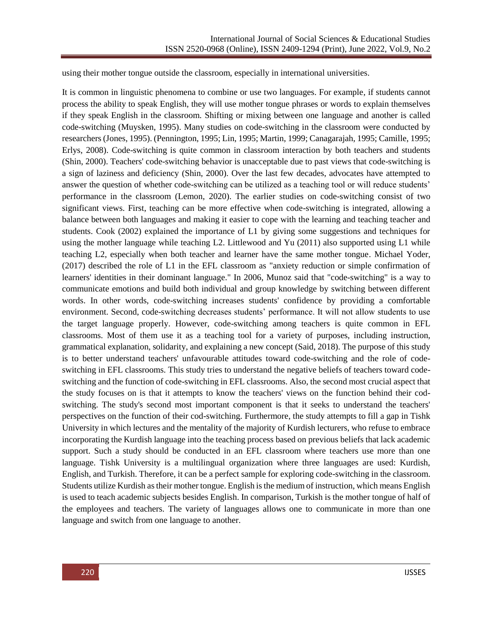using their mother tongue outside the classroom, especially in international universities.

It is common in linguistic phenomena to combine or use two languages. For example, if students cannot process the ability to speak English, they will use mother tongue phrases or words to explain themselves if they speak English in the classroom. Shifting or mixing between one language and another is called code-switching (Muysken, 1995). Many studies on code-switching in the classroom were conducted by researchers (Jones, 1995). (Pennington, 1995; Lin, 1995; Martin, 1999; Canagarajah, 1995; Camille, 1995; Erlys, 2008). Code-switching is quite common in classroom interaction by both teachers and students (Shin, 2000). Teachers' code-switching behavior is unacceptable due to past views that code-switching is a sign of laziness and deficiency (Shin, 2000). Over the last few decades, advocates have attempted to answer the question of whether code-switching can be utilized as a teaching tool or will reduce students' performance in the classroom (Lemon, 2020). The earlier studies on code-switching consist of two significant views. First, teaching can be more effective when code-switching is integrated, allowing a balance between both languages and making it easier to cope with the learning and teaching teacher and students. Cook (2002) explained the importance of L1 by giving some suggestions and techniques for using the mother language while teaching L2. Littlewood and Yu (2011) also supported using L1 while teaching L2, especially when both teacher and learner have the same mother tongue. Michael Yoder, (2017) described the role of L1 in the EFL classroom as "anxiety reduction or simple confirmation of learners' identities in their dominant language." In 2006, Munoz said that "code-switching" is a way to communicate emotions and build both individual and group knowledge by switching between different words. In other words, code-switching increases students' confidence by providing a comfortable environment. Second, code-switching decreases students' performance. It will not allow students to use the target language properly. However, code-switching among teachers is quite common in EFL classrooms. Most of them use it as a teaching tool for a variety of purposes, including instruction, grammatical explanation, solidarity, and explaining a new concept (Said, 2018). The purpose of this study is to better understand teachers' unfavourable attitudes toward code-switching and the role of codeswitching in EFL classrooms. This study tries to understand the negative beliefs of teachers toward codeswitching and the function of code-switching in EFL classrooms. Also, the second most crucial aspect that the study focuses on is that it attempts to know the teachers' views on the function behind their codswitching. The study's second most important component is that it seeks to understand the teachers' perspectives on the function of their cod-switching. Furthermore, the study attempts to fill a gap in Tishk University in which lectures and the mentality of the majority of Kurdish lecturers, who refuse to embrace incorporating the Kurdish language into the teaching process based on previous beliefs that lack academic support. Such a study should be conducted in an EFL classroom where teachers use more than one language. Tishk University is a multilingual organization where three languages are used: Kurdish, English, and Turkish. Therefore, it can be a perfect sample for exploring code-switching in the classroom. Students utilize Kurdish as their mother tongue. English is the medium of instruction, which means English is used to teach academic subjects besides English. In comparison, Turkish is the mother tongue of half of the employees and teachers. The variety of languages allows one to communicate in more than one language and switch from one language to another.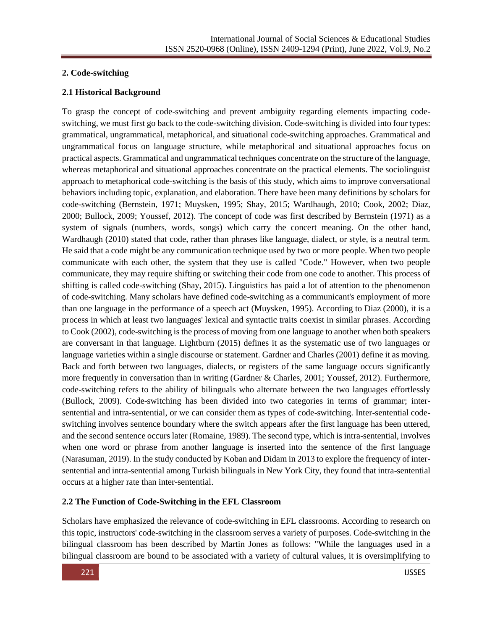## **2. Code-switching**

## **2.1 Historical Background**

To grasp the concept of code-switching and prevent ambiguity regarding elements impacting codeswitching, we must first go back to the code-switching division. Code-switching is divided into four types: grammatical, ungrammatical, metaphorical, and situational code-switching approaches. Grammatical and ungrammatical focus on language structure, while metaphorical and situational approaches focus on practical aspects. Grammatical and ungrammatical techniques concentrate on the structure of the language, whereas metaphorical and situational approaches concentrate on the practical elements. The sociolinguist approach to metaphorical code-switching is the basis of this study, which aims to improve conversational behaviors including topic, explanation, and elaboration. There have been many definitions by scholars for code-switching (Bernstein, 1971; Muysken, 1995; Shay, 2015; Wardhaugh, 2010; Cook, 2002; Diaz, 2000; Bullock, 2009; Youssef, 2012). The concept of code was first described by Bernstein (1971) as a system of signals (numbers, words, songs) which carry the concert meaning. On the other hand, Wardhaugh (2010) stated that code, rather than phrases like language, dialect, or style, is a neutral term. He said that a code might be any communication technique used by two or more people. When two people communicate with each other, the system that they use is called "Code." However, when two people communicate, they may require shifting or switching their code from one code to another. This process of shifting is called code-switching (Shay, 2015). Linguistics has paid a lot of attention to the phenomenon of code-switching. Many scholars have defined code-switching as a communicant's employment of more than one language in the performance of a speech act (Muysken, 1995). According to Diaz (2000), it is a process in which at least two languages' lexical and syntactic traits coexist in similar phrases. According to Cook (2002), code-switching is the process of moving from one language to another when both speakers are conversant in that language. Lightburn (2015) defines it as the systematic use of two languages or language varieties within a single discourse or statement. Gardner and Charles (2001) define it as moving. Back and forth between two languages, dialects, or registers of the same language occurs significantly more frequently in conversation than in writing (Gardner & Charles, 2001; Youssef, 2012). Furthermore, code-switching refers to the ability of bilinguals who alternate between the two languages effortlessly (Bullock, 2009). Code-switching has been divided into two categories in terms of grammar; intersentential and intra-sentential, or we can consider them as types of code-switching. Inter-sentential codeswitching involves sentence boundary where the switch appears after the first language has been uttered, and the second sentence occurs later (Romaine, 1989). The second type, which is intra-sentential, involves when one word or phrase from another language is inserted into the sentence of the first language (Narasuman, 2019). In the study conducted by Koban and Didam in 2013 to explore the frequency of intersentential and intra-sentential among Turkish bilinguals in New York City, they found that intra-sentential occurs at a higher rate than inter-sentential.

## **2.2 The Function of Code-Switching in the EFL Classroom**

Scholars have emphasized the relevance of code-switching in EFL classrooms. According to research on this topic, instructors' code-switching in the classroom serves a variety of purposes. Code-switching in the bilingual classroom has been described by Martin Jones as follows: "While the languages used in a bilingual classroom are bound to be associated with a variety of cultural values, it is oversimplifying to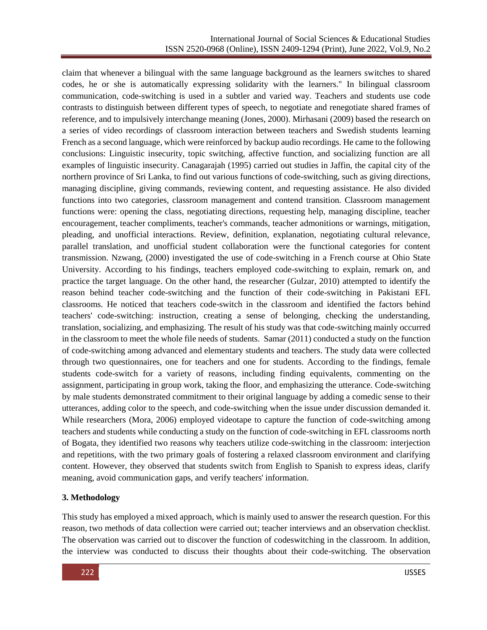claim that whenever a bilingual with the same language background as the learners switches to shared codes, he or she is automatically expressing solidarity with the learners." In bilingual classroom communication, code-switching is used in a subtler and varied way. Teachers and students use code contrasts to distinguish between different types of speech, to negotiate and renegotiate shared frames of reference, and to impulsively interchange meaning (Jones, 2000). Mirhasani (2009) based the research on a series of video recordings of classroom interaction between teachers and Swedish students learning French as a second language, which were reinforced by backup audio recordings. He came to the following conclusions: Linguistic insecurity, topic switching, affective function, and socializing function are all examples of linguistic insecurity. Canagarajah (1995) carried out studies in Jaffin, the capital city of the northern province of Sri Lanka, to find out various functions of code-switching, such as giving directions, managing discipline, giving commands, reviewing content, and requesting assistance. He also divided functions into two categories, classroom management and contend transition. Classroom management functions were: opening the class, negotiating directions, requesting help, managing discipline, teacher encouragement, teacher compliments, teacher's commands, teacher admonitions or warnings, mitigation, pleading, and unofficial interactions. Review, definition, explanation, negotiating cultural relevance, parallel translation, and unofficial student collaboration were the functional categories for content transmission. Nzwang, (2000) investigated the use of code-switching in a French course at Ohio State University. According to his findings, teachers employed code-switching to explain, remark on, and practice the target language. On the other hand, the researcher (Gulzar, 2010) attempted to identify the reason behind teacher code-switching and the function of their code-switching in Pakistani EFL classrooms. He noticed that teachers code-switch in the classroom and identified the factors behind teachers' code-switching: instruction, creating a sense of belonging, checking the understanding, translation, socializing, and emphasizing. The result of his study was that code-switching mainly occurred in the classroom to meet the whole file needs of students. Samar (2011) conducted a study on the function of code-switching among advanced and elementary students and teachers. The study data were collected through two questionnaires, one for teachers and one for students. According to the findings, female students code-switch for a variety of reasons, including finding equivalents, commenting on the assignment, participating in group work, taking the floor, and emphasizing the utterance. Code-switching by male students demonstrated commitment to their original language by adding a comedic sense to their utterances, adding color to the speech, and code-switching when the issue under discussion demanded it. While researchers (Mora, 2006) employed videotape to capture the function of code-switching among teachers and students while conducting a study on the function of code-switching in EFL classrooms north of Bogata, they identified two reasons why teachers utilize code-switching in the classroom: interjection and repetitions, with the two primary goals of fostering a relaxed classroom environment and clarifying content. However, they observed that students switch from English to Spanish to express ideas, clarify meaning, avoid communication gaps, and verify teachers' information.

## **3. Methodology**

This study has employed a mixed approach, which is mainly used to answer the research question. For this reason, two methods of data collection were carried out; teacher interviews and an observation checklist. The observation was carried out to discover the function of codeswitching in the classroom. In addition, the interview was conducted to discuss their thoughts about their code-switching. The observation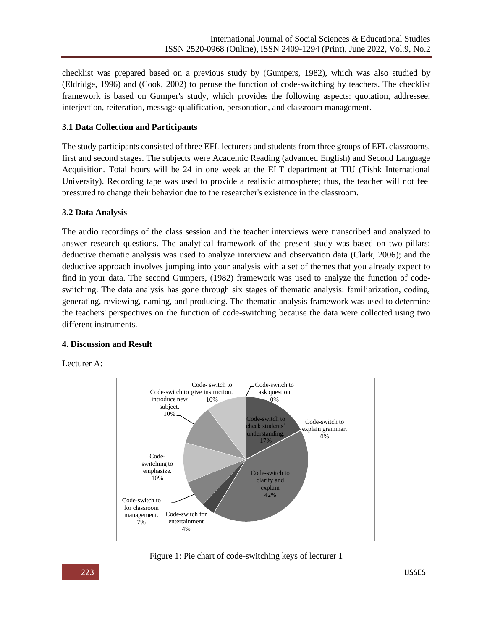checklist was prepared based on a previous study by (Gumpers, 1982), which was also studied by (Eldridge, 1996) and (Cook, 2002) to peruse the function of code-switching by teachers. The checklist framework is based on Gumper's study, which provides the following aspects: quotation, addressee, interjection, reiteration, message qualification, personation, and classroom management.

## **3.1 Data Collection and Participants**

The study participants consisted of three EFL lecturers and students from three groups of EFL classrooms, first and second stages. The subjects were Academic Reading (advanced English) and Second Language Acquisition. Total hours will be 24 in one week at the ELT department at TIU (Tishk International University). Recording tape was used to provide a realistic atmosphere; thus, the teacher will not feel pressured to change their behavior due to the researcher's existence in the classroom.

## **3.2 Data Analysis**

The audio recordings of the class session and the teacher interviews were transcribed and analyzed to answer research questions. The analytical framework of the present study was based on two pillars: deductive thematic analysis was used to analyze interview and observation data (Clark, 2006); and the deductive approach involves jumping into your analysis with a set of themes that you already expect to find in your data. The second Gumpers, (1982) framework was used to analyze the function of codeswitching. The data analysis has gone through six stages of thematic analysis: familiarization, coding, generating, reviewing, naming, and producing. The thematic analysis framework was used to determine the teachers' perspectives on the function of code-switching because the data were collected using two different instruments.

## **4. Discussion and Result**

Lecturer A:



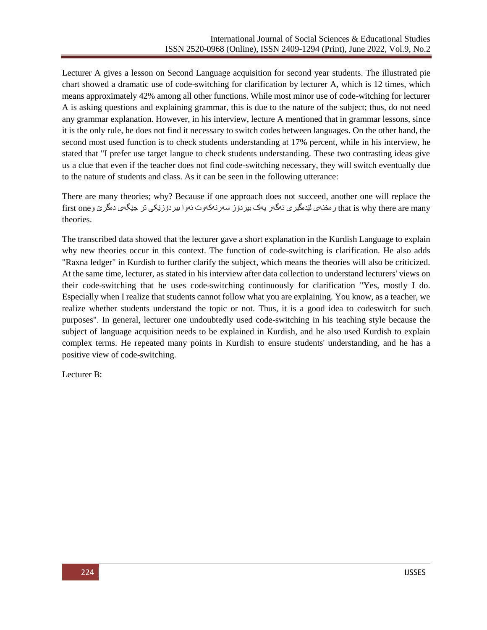Lecturer A gives a lesson on Second Language acquisition for second year students. The illustrated pie chart showed a dramatic use of code-switching for clarification by lecturer A, which is 12 times, which means approximately 42% among all other functions. While most minor use of code-witching for lecturer A is asking questions and explaining grammar, this is due to the nature of the subject; thus, do not need any grammar explanation. However, in his interview, lecture A mentioned that in grammar lessons, since it is the only rule, he does not find it necessary to switch codes between languages. On the other hand, the second most used function is to check students understanding at 17% percent, while in his interview, he stated that "I prefer use target langue to check students understanding. These two contrasting ideas give us a clue that even if the teacher does not find code-switching necessary, they will switch eventually due to the nature of students and class. As it can be seen in the following utterance:

There are many theories; why? Because if one approach does not succeed, another one will replace the first one در مخنەی لێدەگیری ئەگەر يەک بیردۆز سەرنەکەوت ئەوا بیردۆزێکی تر جێگەی دەگرێ و first one theories.

The transcribed data showed that the lecturer gave a short explanation in the Kurdish Language to explain why new theories occur in this context. The function of code-switching is clarification. He also adds "Raxna ledger" in Kurdish to further clarify the subject, which means the theories will also be criticized. At the same time, lecturer, as stated in his interview after data collection to understand lecturers' views on their code-switching that he uses code-switching continuously for clarification "Yes, mostly I do. Especially when I realize that students cannot follow what you are explaining. You know, as a teacher, we realize whether students understand the topic or not. Thus, it is a good idea to codeswitch for such purposes". In general, lecturer one undoubtedly used code-switching in his teaching style because the subject of language acquisition needs to be explained in Kurdish, and he also used Kurdish to explain complex terms. He repeated many points in Kurdish to ensure students' understanding, and he has a positive view of code-switching.

Lecturer B: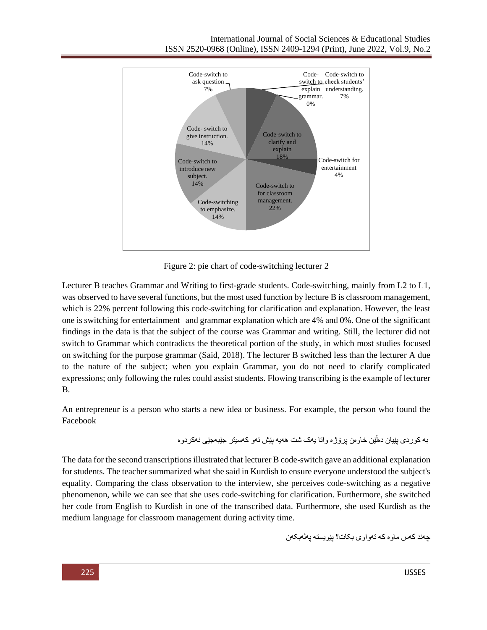

Figure 2: pie chart of code-switching lecturer 2

Lecturer B teaches Grammar and Writing to first-grade students. Code-switching, mainly from L2 to L1, was observed to have several functions, but the most used function by lecture B is classroom management, which is 22% percent following this code-switching for clarification and explanation. However, the least one is switching for entertainment and grammar explanation which are 4% and 0%. One of the significant findings in the data is that the subject of the course was Grammar and writing. Still, the lecturer did not switch to Grammar which contradicts the theoretical portion of the study, in which most studies focused on switching for the purpose grammar (Said, 2018). The lecturer B switched less than the lecturer A due to the nature of the subject; when you explain Grammar, you do not need to clarify complicated expressions; only following the rules could assist students. Flowing transcribing is the example of lecturer B.

An entrepreneur is a person who starts a new idea or business. For example, the person who found the Facebook

بە کوردی پێیان دەڵێن خاوەن پرۆژە واتا يەک شت هەيە پێش ئەو کەسیتر جێبەجێی نەکردوە

The data for the second transcriptions illustrated that lecturer B code-switch gave an additional explanation for students. The teacher summarized what she said in Kurdish to ensure everyone understood the subject's equality. Comparing the class observation to the interview, she perceives code-switching as a negative phenomenon, while we can see that she uses code-switching for clarification. Furthermore, she switched her code from English to Kurdish in one of the transcribed data. Furthermore, she used Kurdish as the medium language for classroom management during activity time.

چەند کەس ماوە کە تەواوی بکات؟ پێويستە پەلەبکەن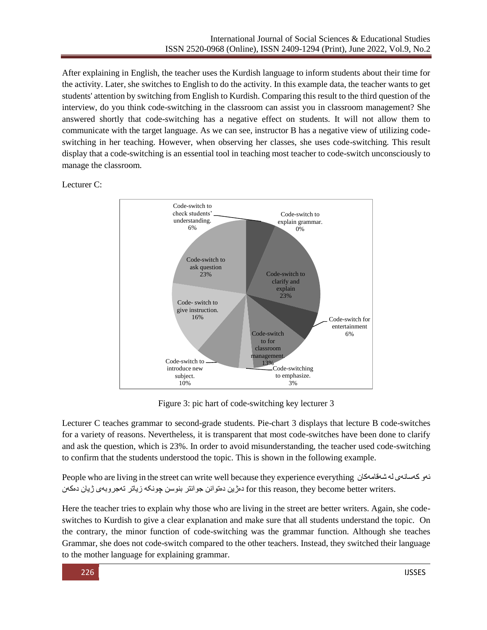After explaining in English, the teacher uses the Kurdish language to inform students about their time for the activity. Later, she switches to English to do the activity. In this example data, the teacher wants to get students' attention by switching from English to Kurdish. Comparing this result to the third question of the interview, do you think code-switching in the classroom can assist you in classroom management? She answered shortly that code-switching has a negative effect on students. It will not allow them to communicate with the target language. As we can see, instructor B has a negative view of utilizing codeswitching in her teaching. However, when observing her classes, she uses code-switching. This result display that a code-switching is an essential tool in teaching most teacher to code-switch unconsciously to manage the classroom.

Lecturer C:



Figure 3: pic hart of code-switching key lecturer 3

Lecturer C teaches grammar to second-grade students. Pie-chart 3 displays that lecture B code-switches for a variety of reasons. Nevertheless, it is transparent that most code-switches have been done to clarify and ask the question, which is 23%. In order to avoid misunderstanding, the teacher used code-switching to confirm that the students understood the topic. This is shown in the following example.

People who are living in the street can write well because they experience everything شەقامەکان لە کەسانەی ئەو .for this reason, they become better writers دەژين دەتوانن جوانتر بنوسن چونکە زياتر تەجروبەی ژيان دەکەن

Here the teacher tries to explain why those who are living in the street are better writers. Again, she codeswitches to Kurdish to give a clear explanation and make sure that all students understand the topic. On the contrary, the minor function of code-switching was the grammar function. Although she teaches Grammar, she does not code-switch compared to the other teachers. Instead, they switched their language to the mother language for explaining grammar.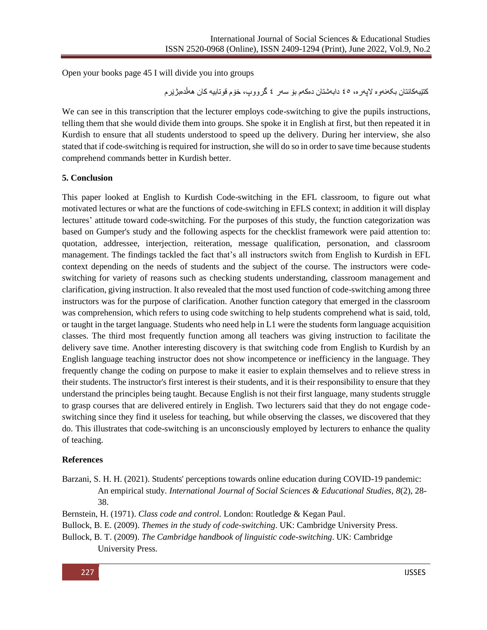Open your books page 45 I will divide you into groups

کتێبەکانتان بکەنەوە الپەرە، ٥٤ دابەشتان دەکەم بۆ سەر ٥ گرووپ، خۆم قوتابیە کان هەڵدەبژێرم

We can see in this transcription that the lecturer employs code-switching to give the pupils instructions, telling them that she would divide them into groups. She spoke it in English at first, but then repeated it in Kurdish to ensure that all students understood to speed up the delivery. During her interview, she also stated that if code-switching is required for instruction, she will do so in order to save time because students comprehend commands better in Kurdish better.

## **5. Conclusion**

This paper looked at English to Kurdish Code-switching in the EFL classroom, to figure out what motivated lectures or what are the functions of code-switching in EFLS context; in addition it will display lectures' attitude toward code-switching. For the purposes of this study, the function categorization was based on Gumper's study and the following aspects for the checklist framework were paid attention to: quotation, addressee, interjection, reiteration, message qualification, personation, and classroom management. The findings tackled the fact that's all instructors switch from English to Kurdish in EFL context depending on the needs of students and the subject of the course. The instructors were codeswitching for variety of reasons such as checking students understanding, classroom management and clarification, giving instruction. It also revealed that the most used function of code-switching among three instructors was for the purpose of clarification. Another function category that emerged in the classroom was comprehension, which refers to using code switching to help students comprehend what is said, told, or taught in the target language. Students who need help in L1 were the students form language acquisition classes. The third most frequently function among all teachers was giving instruction to facilitate the delivery save time. Another interesting discovery is that switching code from English to Kurdish by an English language teaching instructor does not show incompetence or inefficiency in the language. They frequently change the coding on purpose to make it easier to explain themselves and to relieve stress in their students. The instructor's first interest is their students, and it is their responsibility to ensure that they understand the principles being taught. Because English is not their first language, many students struggle to grasp courses that are delivered entirely in English. Two lecturers said that they do not engage codeswitching since they find it useless for teaching, but while observing the classes, we discovered that they do. This illustrates that code-switching is an unconsciously employed by lecturers to enhance the quality of teaching.

## **References**

- Barzani, S. H. H. (2021). Students' perceptions towards online education during COVID-19 pandemic: An empirical study*. International Journal of Social Sciences & Educational Studies, 8*(2), 28- 38.
- Bernstein, H. (1971). *Class code and control.* London: Routledge & Kegan Paul.
- Bullock, B. E. (2009). *Themes in the study of code-switching*. UK: Cambridge University Press.
- Bullock, B. T. (2009). *The Cambridge handbook of linguistic code-switching*. UK: Cambridge University Press.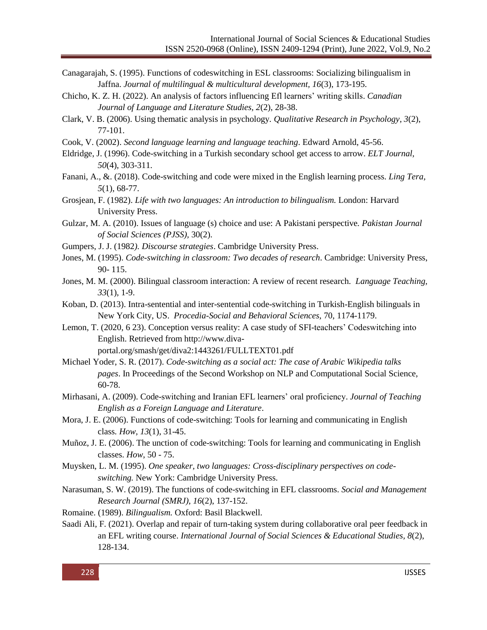- Canagarajah, S. (1995). Functions of codeswitching in ESL classrooms: Socializing bilingualism in Jaffna. *Journal of multilingual & multicultural development, 16*(3), 173-195.
- Chicho, K. Z. H. (2022). An analysis of factors influencing Efl learners' writing skills. *Canadian Journal of Language and Literature Studies, 2*(2), 28-38.
- Clark, V. B. (2006). Using thematic analysis in psychology*. Qualitative Research in Psychology*, *3*(2), 77-101.
- Cook, V. (2002). *Second language learning and language teaching*. Edward Arnold, 45-56.
- Eldridge, J. (1996). Code-switching in a Turkish secondary school get access to arrow. *ELT Journal, 50*(4), 303-311.
- Fanani, A., &. (2018). Code-switching and code were mixed in the English learning process. *Ling Tera, 5*(1), 68-77.
- Grosjean, F. (1982). *Life with two languages: An introduction to bilingualism.* London: Harvard University Press.
- Gulzar, M. A. (2010). Issues of language (s) choice and use: A Pakistani perspective*. Pakistan Journal of Social Sciences (PJSS),* 30(2).
- Gumpers, J. J. (1982*). Discourse strategies*. Cambridge University Press.
- Jones, M. (1995). *Code-switching in classroom: Two decades of research*. Cambridge: University Press, 90- 115.
- Jones, M. M. (2000). Bilingual classroom interaction: A review of recent research*. Language Teaching, 33*(1), 1-9.
- Koban, D. (2013). Intra-sentential and inter-sentential code-switching in Turkish-English bilinguals in New York City, US. *Procedia-Social and Behavioral Sciences,* 70, 1174-1179.
- Lemon, T. (2020, 6 23). Conception versus reality: A case study of SFI-teachers' Codeswitching into English. Retrieved fro[m http://www.diva](http://www.diva-portal.org/smash/get/diva2:1443261/FULLTEXT01.pdf)[portal.org/smash/get/diva2:1443261/FULLTEXT01.pdf](http://www.diva-portal.org/smash/get/diva2:1443261/FULLTEXT01.pdf)
- Michael Yoder, S. R. (2017). *Code-switching as a social act: The case of Arabic Wikipedia talks pages*. In Proceedings of the Second Workshop on NLP and Computational Social Science, 60-78.
- Mirhasani, A. (2009). Code-switching and Iranian EFL learners' oral proficiency. *Journal of Teaching English as a Foreign Language and Literature*.
- Mora, J. E. (2006). Functions of code-switching: Tools for learning and communicating in English class*. How, 13*(1), 31-45.
- Muñoz, J. E. (2006). The unction of code-switching: Tools for learning and communicating in English classes. *How*, 50 - 75.
- Muysken, L. M. (1995). *One speaker, two languages: Cross-disciplinary perspectives on codeswitching.* New York: Cambridge University Press.
- Narasuman, S. W. (2019). The functions of code-switching in EFL classrooms. *Social and Management Research Journal (SMRJ), 16*(2), 137-152.
- Romaine. (1989). *Bilingualism.* Oxford: Basil Blackwell.
- Saadi Ali, F. (2021). Overlap and repair of turn-taking system during collaborative oral peer feedback in an EFL writing course. *International Journal of Social Sciences & Educational Studies, 8*(2), 128-134.